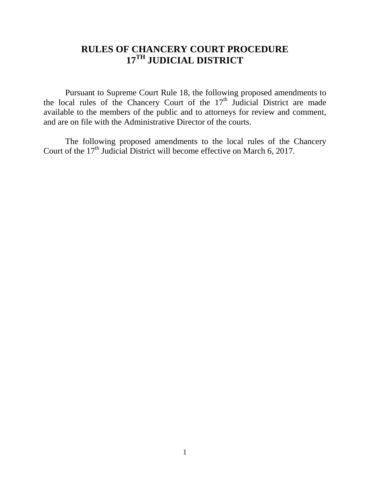## **RULES OF CHANCERY COURT PROCEDURE 17TH JUDICIAL DISTRICT**

Pursuant to Supreme Court Rule 18, the following proposed amendments to the local rules of the Chancery Court of the  $17<sup>th</sup>$  Judicial District are made available to the members of the public and to attorneys for review and comment, and are on file with the Administrative Director of the courts.

The following proposed amendments to the local rules of the Chancery Court of the  $17<sup>th</sup>$  Judicial District will become effective on March 6, 2017.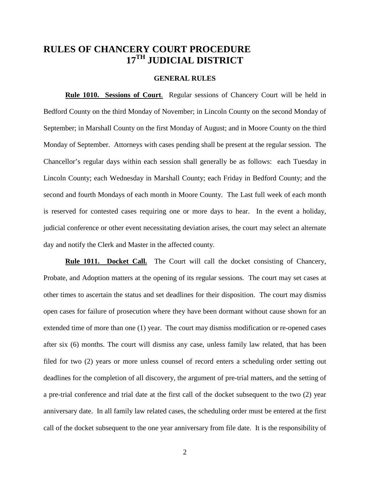### **RULES OF CHANCERY COURT PROCEDURE 17TH JUDICIAL DISTRICT**

### **GENERAL RULES**

**Rule 1010. Sessions of Court**. Regular sessions of Chancery Court will be held in Bedford County on the third Monday of November; in Lincoln County on the second Monday of September; in Marshall County on the first Monday of August; and in Moore County on the third Monday of September. Attorneys with cases pending shall be present at the regular session. The Chancellor's regular days within each session shall generally be as follows: each Tuesday in Lincoln County; each Wednesday in Marshall County; each Friday in Bedford County; and the second and fourth Mondays of each month in Moore County. The Last full week of each month is reserved for contested cases requiring one or more days to hear. In the event a holiday, judicial conference or other event necessitating deviation arises, the court may select an alternate day and notify the Clerk and Master in the affected county.

**Rule 1011. Docket Call.** The Court will call the docket consisting of Chancery, Probate, and Adoption matters at the opening of its regular sessions. The court may set cases at other times to ascertain the status and set deadlines for their disposition. The court may dismiss open cases for failure of prosecution where they have been dormant without cause shown for an extended time of more than one (1) year. The court may dismiss modification or re-opened cases after six (6) months. The court will dismiss any case, unless family law related, that has been filed for two (2) years or more unless counsel of record enters a scheduling order setting out deadlines for the completion of all discovery, the argument of pre-trial matters, and the setting of a pre-trial conference and trial date at the first call of the docket subsequent to the two (2) year anniversary date. In all family law related cases, the scheduling order must be entered at the first call of the docket subsequent to the one year anniversary from file date. It is the responsibility of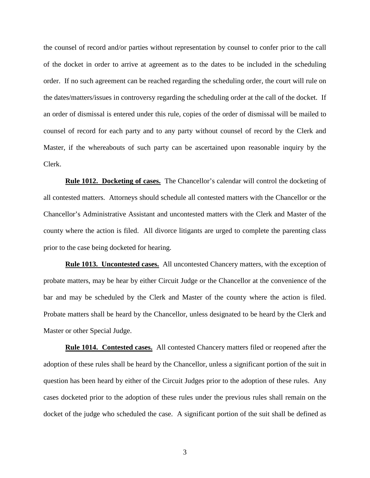the counsel of record and/or parties without representation by counsel to confer prior to the call of the docket in order to arrive at agreement as to the dates to be included in the scheduling order. If no such agreement can be reached regarding the scheduling order, the court will rule on the dates/matters/issues in controversy regarding the scheduling order at the call of the docket. If an order of dismissal is entered under this rule, copies of the order of dismissal will be mailed to counsel of record for each party and to any party without counsel of record by the Clerk and Master, if the whereabouts of such party can be ascertained upon reasonable inquiry by the Clerk.

**Rule 1012. Docketing of cases.** The Chancellor's calendar will control the docketing of all contested matters. Attorneys should schedule all contested matters with the Chancellor or the Chancellor's Administrative Assistant and uncontested matters with the Clerk and Master of the county where the action is filed. All divorce litigants are urged to complete the parenting class prior to the case being docketed for hearing.

**Rule 1013. Uncontested cases.** All uncontested Chancery matters, with the exception of probate matters, may be hear by either Circuit Judge or the Chancellor at the convenience of the bar and may be scheduled by the Clerk and Master of the county where the action is filed. Probate matters shall be heard by the Chancellor, unless designated to be heard by the Clerk and Master or other Special Judge.

**Rule 1014. Contested cases.** All contested Chancery matters filed or reopened after the adoption of these rules shall be heard by the Chancellor, unless a significant portion of the suit in question has been heard by either of the Circuit Judges prior to the adoption of these rules. Any cases docketed prior to the adoption of these rules under the previous rules shall remain on the docket of the judge who scheduled the case. A significant portion of the suit shall be defined as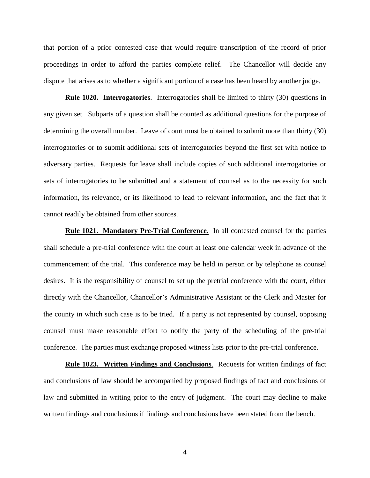that portion of a prior contested case that would require transcription of the record of prior proceedings in order to afford the parties complete relief. The Chancellor will decide any dispute that arises as to whether a significant portion of a case has been heard by another judge.

**Rule 1020. Interrogatories**. Interrogatories shall be limited to thirty (30) questions in any given set. Subparts of a question shall be counted as additional questions for the purpose of determining the overall number. Leave of court must be obtained to submit more than thirty (30) interrogatories or to submit additional sets of interrogatories beyond the first set with notice to adversary parties. Requests for leave shall include copies of such additional interrogatories or sets of interrogatories to be submitted and a statement of counsel as to the necessity for such information, its relevance, or its likelihood to lead to relevant information, and the fact that it cannot readily be obtained from other sources.

**Rule 1021. Mandatory Pre-Trial Conference.** In all contested counsel for the parties shall schedule a pre-trial conference with the court at least one calendar week in advance of the commencement of the trial. This conference may be held in person or by telephone as counsel desires. It is the responsibility of counsel to set up the pretrial conference with the court, either directly with the Chancellor, Chancellor's Administrative Assistant or the Clerk and Master for the county in which such case is to be tried. If a party is not represented by counsel, opposing counsel must make reasonable effort to notify the party of the scheduling of the pre-trial conference. The parties must exchange proposed witness lists prior to the pre-trial conference.

**Rule 1023. Written Findings and Conclusions**. Requests for written findings of fact and conclusions of law should be accompanied by proposed findings of fact and conclusions of law and submitted in writing prior to the entry of judgment. The court may decline to make written findings and conclusions if findings and conclusions have been stated from the bench.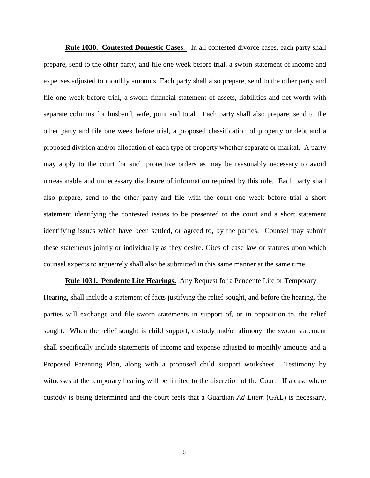**Rule 1030. Contested Domestic Cases**. In all contested divorce cases, each party shall prepare, send to the other party, and file one week before trial, a sworn statement of income and expenses adjusted to monthly amounts. Each party shall also prepare, send to the other party and file one week before trial, a sworn financial statement of assets, liabilities and net worth with separate columns for husband, wife, joint and total. Each party shall also prepare, send to the other party and file one week before trial, a proposed classification of property or debt and a proposed division and/or allocation of each type of property whether separate or marital. A party may apply to the court for such protective orders as may be reasonably necessary to avoid unreasonable and unnecessary disclosure of information required by this rule. Each party shall also prepare, send to the other party and file with the court one week before trial a short statement identifying the contested issues to be presented to the court and a short statement identifying issues which have been settled, or agreed to, by the parties. Counsel may submit these statements jointly or individually as they desire. Cites of case law or statutes upon which counsel expects to argue/rely shall also be submitted in this same manner at the same time.

**Rule 1031. Pendente Lite Hearings.** Any Request for a Pendente Lite or Temporary Hearing, shall include a statement of facts justifying the relief sought, and before the hearing, the parties will exchange and file sworn statements in support of, or in opposition to, the relief sought. When the relief sought is child support, custody and/or alimony, the sworn statement shall specifically include statements of income and expense adjusted to monthly amounts and a Proposed Parenting Plan, along with a proposed child support worksheet. Testimony by witnesses at the temporary hearing will be limited to the discretion of the Court. If a case where custody is being determined and the court feels that a Guardian *Ad Litem* (GAL) is necessary,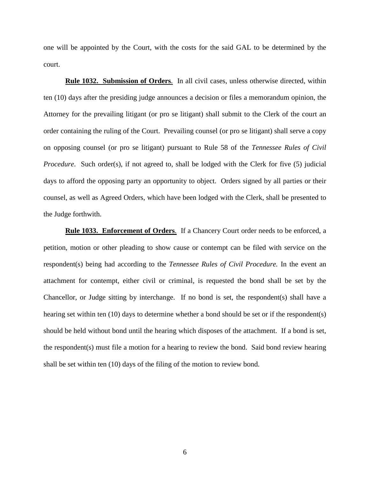one will be appointed by the Court, with the costs for the said GAL to be determined by the court.

**Rule 1032. Submission of Orders**. In all civil cases, unless otherwise directed, within ten (10) days after the presiding judge announces a decision or files a memorandum opinion, the Attorney for the prevailing litigant (or pro se litigant) shall submit to the Clerk of the court an order containing the ruling of the Court. Prevailing counsel (or pro se litigant) shall serve a copy on opposing counsel (or pro se litigant) pursuant to Rule 58 of the *Tennessee Rules of Civil Procedure*. Such order(s), if not agreed to, shall be lodged with the Clerk for five (5) judicial days to afford the opposing party an opportunity to object. Orders signed by all parties or their counsel, as well as Agreed Orders, which have been lodged with the Clerk, shall be presented to the Judge forthwith.

**Rule 1033. Enforcement of Orders**. If a Chancery Court order needs to be enforced, a petition, motion or other pleading to show cause or contempt can be filed with service on the respondent(s) being had according to the *Tennessee Rules of Civil Procedure.* In the event an attachment for contempt, either civil or criminal, is requested the bond shall be set by the Chancellor, or Judge sitting by interchange. If no bond is set, the respondent(s) shall have a hearing set within ten (10) days to determine whether a bond should be set or if the respondent(s) should be held without bond until the hearing which disposes of the attachment. If a bond is set, the respondent(s) must file a motion for a hearing to review the bond. Said bond review hearing shall be set within ten (10) days of the filing of the motion to review bond.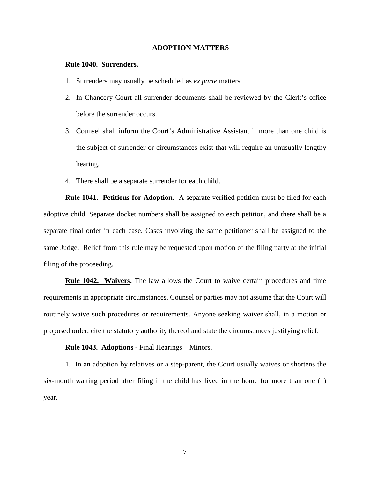### **ADOPTION MATTERS**

### **Rule 1040. Surrenders.**

- 1. Surrenders may usually be scheduled as *ex parte* matters.
- 2. In Chancery Court all surrender documents shall be reviewed by the Clerk's office before the surrender occurs.
- 3. Counsel shall inform the Court's Administrative Assistant if more than one child is the subject of surrender or circumstances exist that will require an unusually lengthy hearing.
- 4. There shall be a separate surrender for each child.

**Rule 1041. Petitions for Adoption.** A separate verified petition must be filed for each adoptive child. Separate docket numbers shall be assigned to each petition, and there shall be a separate final order in each case. Cases involving the same petitioner shall be assigned to the same Judge. Relief from this rule may be requested upon motion of the filing party at the initial filing of the proceeding.

**Rule 1042. Waivers.** The law allows the Court to waive certain procedures and time requirements in appropriate circumstances. Counsel or parties may not assume that the Court will routinely waive such procedures or requirements. Anyone seeking waiver shall, in a motion or proposed order, cite the statutory authority thereof and state the circumstances justifying relief.

**Rule 1043. Adoptions -** Final Hearings – Minors.

1. In an adoption by relatives or a step-parent, the Court usually waives or shortens the six-month waiting period after filing if the child has lived in the home for more than one (1) year.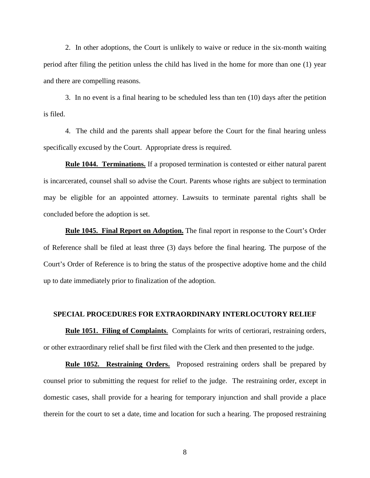2. In other adoptions, the Court is unlikely to waive or reduce in the six-month waiting period after filing the petition unless the child has lived in the home for more than one (1) year and there are compelling reasons.

3. In no event is a final hearing to be scheduled less than ten (10) days after the petition is filed.

4. The child and the parents shall appear before the Court for the final hearing unless specifically excused by the Court. Appropriate dress is required.

**Rule 1044. Terminations.** If a proposed termination is contested or either natural parent is incarcerated, counsel shall so advise the Court. Parents whose rights are subject to termination may be eligible for an appointed attorney. Lawsuits to terminate parental rights shall be concluded before the adoption is set.

**Rule 1045. Final Report on Adoption.** The final report in response to the Court's Order of Reference shall be filed at least three (3) days before the final hearing. The purpose of the Court's Order of Reference is to bring the status of the prospective adoptive home and the child up to date immediately prior to finalization of the adoption.

### **SPECIAL PROCEDURES FOR EXTRAORDINARY INTERLOCUTORY RELIEF**

**Rule 1051. Filing of Complaints**. Complaints for writs of certiorari, restraining orders, or other extraordinary relief shall be first filed with the Clerk and then presented to the judge.

**Rule 1052. Restraining Orders.** Proposed restraining orders shall be prepared by counsel prior to submitting the request for relief to the judge. The restraining order, except in domestic cases, shall provide for a hearing for temporary injunction and shall provide a place therein for the court to set a date, time and location for such a hearing. The proposed restraining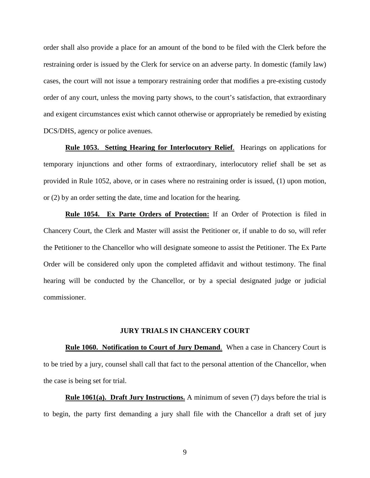order shall also provide a place for an amount of the bond to be filed with the Clerk before the restraining order is issued by the Clerk for service on an adverse party. In domestic (family law) cases, the court will not issue a temporary restraining order that modifies a pre-existing custody order of any court, unless the moving party shows, to the court's satisfaction, that extraordinary and exigent circumstances exist which cannot otherwise or appropriately be remedied by existing DCS/DHS, agency or police avenues.

**Rule 1053. Setting Hearing for Interlocutory Relief**. Hearings on applications for temporary injunctions and other forms of extraordinary, interlocutory relief shall be set as provided in Rule 1052, above, or in cases where no restraining order is issued, (1) upon motion, or (2) by an order setting the date, time and location for the hearing.

**Rule 1054. Ex Parte Orders of Protection:** If an Order of Protection is filed in Chancery Court, the Clerk and Master will assist the Petitioner or, if unable to do so, will refer the Petitioner to the Chancellor who will designate someone to assist the Petitioner. The Ex Parte Order will be considered only upon the completed affidavit and without testimony. The final hearing will be conducted by the Chancellor, or by a special designated judge or judicial commissioner.

#### **JURY TRIALS IN CHANCERY COURT**

**Rule 1060. Notification to Court of Jury Demand**. When a case in Chancery Court is to be tried by a jury, counsel shall call that fact to the personal attention of the Chancellor, when the case is being set for trial.

**Rule 1061(a). Draft Jury Instructions.** A minimum of seven (7) days before the trial is to begin, the party first demanding a jury shall file with the Chancellor a draft set of jury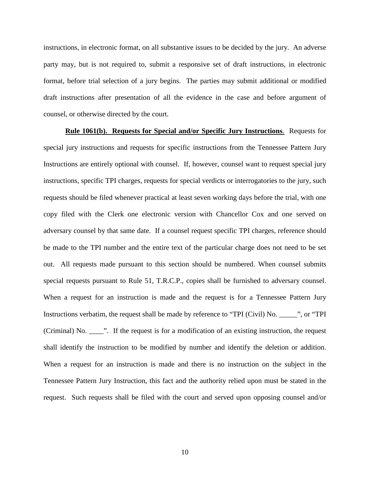instructions, in electronic format, on all substantive issues to be decided by the jury. An adverse party may, but is not required to, submit a responsive set of draft instructions, in electronic format, before trial selection of a jury begins. The parties may submit additional or modified draft instructions after presentation of all the evidence in the case and before argument of counsel, or otherwise directed by the court.

**Rule 1061(b). Requests for Special and/or Specific Jury Instructions**. Requests for special jury instructions and requests for specific instructions from the Tennessee Pattern Jury Instructions are entirely optional with counsel. If, however, counsel want to request special jury instructions, specific TPI charges, requests for special verdicts or interrogatories to the jury, such requests should be filed whenever practical at least seven working days before the trial, with one copy filed with the Clerk one electronic version with Chancellor Cox and one served on adversary counsel by that same date. If a counsel request specific TPI charges, reference should be made to the TPI number and the entire text of the particular charge does not need to be set out. All requests made pursuant to this section should be numbered. When counsel submits special requests pursuant to Rule 51, T.R.C.P., copies shall be furnished to adversary counsel. When a request for an instruction is made and the request is for a Tennessee Pattern Jury Instructions verbatim, the request shall be made by reference to "TPI (Civil) No. \_\_\_\_\_", or "TPI (Criminal) No. \_\_\_\_". If the request is for a modification of an existing instruction, the request shall identify the instruction to be modified by number and identify the deletion or addition. When a request for an instruction is made and there is no instruction on the subject in the Tennessee Pattern Jury Instruction, this fact and the authority relied upon must be stated in the request. Such requests shall be filed with the court and served upon opposing counsel and/or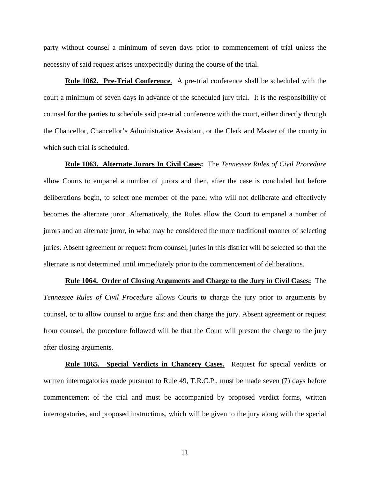party without counsel a minimum of seven days prior to commencement of trial unless the necessity of said request arises unexpectedly during the course of the trial.

**Rule 1062. Pre-Trial Conference**. A pre-trial conference shall be scheduled with the court a minimum of seven days in advance of the scheduled jury trial. It is the responsibility of counsel for the parties to schedule said pre-trial conference with the court, either directly through the Chancellor, Chancellor's Administrative Assistant, or the Clerk and Master of the county in which such trial is scheduled.

**Rule 1063. Alternate Jurors In Civil Cases:** The *Tennessee Rules of Civil Procedure*  allow Courts to empanel a number of jurors and then, after the case is concluded but before deliberations begin, to select one member of the panel who will not deliberate and effectively becomes the alternate juror. Alternatively, the Rules allow the Court to empanel a number of jurors and an alternate juror, in what may be considered the more traditional manner of selecting juries. Absent agreement or request from counsel, juries in this district will be selected so that the alternate is not determined until immediately prior to the commencement of deliberations.

**Rule 1064. Order of Closing Arguments and Charge to the Jury in Civil Cases:** The *Tennessee Rules of Civil Procedure* allows Courts to charge the jury prior to arguments by counsel, or to allow counsel to argue first and then charge the jury. Absent agreement or request from counsel, the procedure followed will be that the Court will present the charge to the jury after closing arguments.

**Rule 1065. Special Verdicts in Chancery Cases.** Request for special verdicts or written interrogatories made pursuant to Rule 49, T.R.C.P., must be made seven (7) days before commencement of the trial and must be accompanied by proposed verdict forms, written interrogatories, and proposed instructions, which will be given to the jury along with the special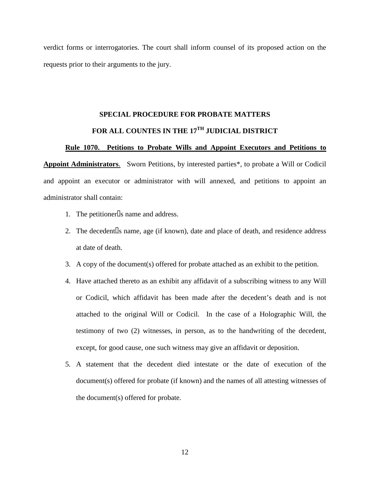verdict forms or interrogatories. The court shall inform counsel of its proposed action on the requests prior to their arguments to the jury.

# **SPECIAL PROCEDURE FOR PROBATE MATTERS**  FOR ALL COUNTES IN THE 17<sup>TH</sup> JUDICIAL DISTRICT

### **Rule 1070. Petitions to Probate Wills and Appoint Executors and Petitions to**

**Appoint Administrators**. Sworn Petitions, by interested parties\*, to probate a Will or Codicil and appoint an executor or administrator with will annexed, and petitions to appoint an administrator shall contain:

- 1. The petitioner $\Box$ s name and address.
- 2. The decedent  $\Box$  name, age (if known), date and place of death, and residence address at date of death.
- 3. A copy of the document(s) offered for probate attached as an exhibit to the petition.
- 4. Have attached thereto as an exhibit any affidavit of a subscribing witness to any Will or Codicil, which affidavit has been made after the decedent's death and is not attached to the original Will or Codicil. In the case of a Holographic Will, the testimony of two (2) witnesses, in person, as to the handwriting of the decedent, except, for good cause, one such witness may give an affidavit or deposition.
- 5. A statement that the decedent died intestate or the date of execution of the document(s) offered for probate (if known) and the names of all attesting witnesses of the document(s) offered for probate.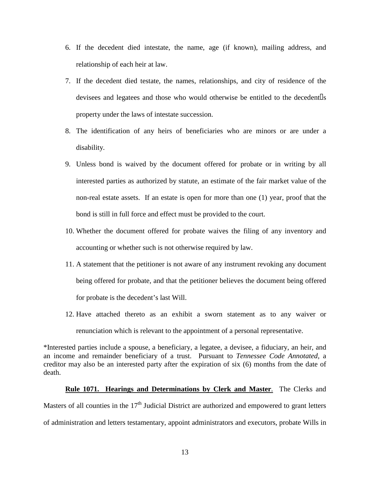- 6. If the decedent died intestate, the name, age (if known), mailing address, and relationship of each heir at law.
- 7. If the decedent died testate, the names, relationships, and city of residence of the devisees and legatees and those who would otherwise be entitled to the decedent s property under the laws of intestate succession.
- 8. The identification of any heirs of beneficiaries who are minors or are under a disability.
- 9. Unless bond is waived by the document offered for probate or in writing by all interested parties as authorized by statute, an estimate of the fair market value of the non-real estate assets. If an estate is open for more than one (1) year, proof that the bond is still in full force and effect must be provided to the court.
- 10. Whether the document offered for probate waives the filing of any inventory and accounting or whether such is not otherwise required by law.
- 11. A statement that the petitioner is not aware of any instrument revoking any document being offered for probate, and that the petitioner believes the document being offered for probate is the decedent's last Will.
- 12. Have attached thereto as an exhibit a sworn statement as to any waiver or renunciation which is relevant to the appointment of a personal representative.

\*Interested parties include a spouse, a beneficiary, a legatee, a devisee, a fiduciary, an heir, and an income and remainder beneficiary of a trust. Pursuant to *Tennessee Code Annotated,* a creditor may also be an interested party after the expiration of six (6) months from the date of death.

### **Rule 1071. Hearings and Determinations by Clerk and Master**. The Clerks and

Masters of all counties in the  $17<sup>th</sup>$  Judicial District are authorized and empowered to grant letters of administration and letters testamentary, appoint administrators and executors, probate Wills in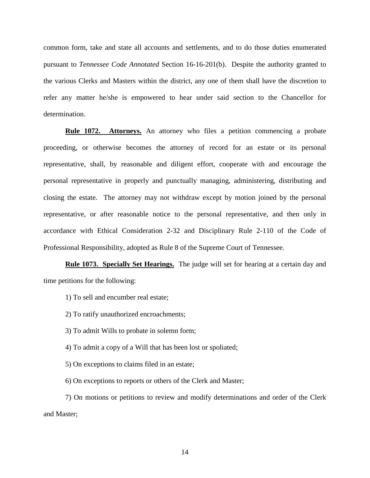common form, take and state all accounts and settlements, and to do those duties enumerated pursuant to *Tennessee Code Annotated* Section 16-16-201(b). Despite the authority granted to the various Clerks and Masters within the district, any one of them shall have the discretion to refer any matter he/she is empowered to hear under said section to the Chancellor for determination.

**Rule 1072. Attorneys.** An attorney who files a petition commencing a probate proceeding, or otherwise becomes the attorney of record for an estate or its personal representative, shall, by reasonable and diligent effort, cooperate with and encourage the personal representative in properly and punctually managing, administering, distributing and closing the estate. The attorney may not withdraw except by motion joined by the personal representative, or after reasonable notice to the personal representative, and then only in accordance with Ethical Consideration 2-32 and Disciplinary Rule 2-110 of the Code of Professional Responsibility, adopted as Rule 8 of the Supreme Court of Tennessee.

**Rule 1073. Specially Set Hearings.** The judge will set for hearing at a certain day and time petitions for the following:

1) To sell and encumber real estate;

2) To ratify unauthorized encroachments;

3) To admit Wills to probate in solemn form;

4) To admit a copy of a Will that has been lost or spoliated;

5) On exceptions to claims filed in an estate;

6) On exceptions to reports or others of the Clerk and Master;

7) On motions or petitions to review and modify determinations and order of the Clerk and Master;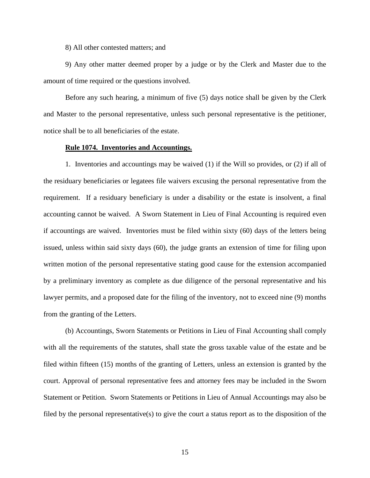8) All other contested matters; and

9) Any other matter deemed proper by a judge or by the Clerk and Master due to the amount of time required or the questions involved.

Before any such hearing, a minimum of five (5) days notice shall be given by the Clerk and Master to the personal representative, unless such personal representative is the petitioner, notice shall be to all beneficiaries of the estate.

### **Rule 1074. Inventories and Accountings.**

1. Inventories and accountings may be waived (1) if the Will so provides, or (2) if all of the residuary beneficiaries or legatees file waivers excusing the personal representative from the requirement. If a residuary beneficiary is under a disability or the estate is insolvent, a final accounting cannot be waived. A Sworn Statement in Lieu of Final Accounting is required even if accountings are waived. Inventories must be filed within sixty (60) days of the letters being issued, unless within said sixty days (60), the judge grants an extension of time for filing upon written motion of the personal representative stating good cause for the extension accompanied by a preliminary inventory as complete as due diligence of the personal representative and his lawyer permits, and a proposed date for the filing of the inventory, not to exceed nine (9) months from the granting of the Letters.

(b) Accountings, Sworn Statements or Petitions in Lieu of Final Accounting shall comply with all the requirements of the statutes, shall state the gross taxable value of the estate and be filed within fifteen (15) months of the granting of Letters, unless an extension is granted by the court. Approval of personal representative fees and attorney fees may be included in the Sworn Statement or Petition. Sworn Statements or Petitions in Lieu of Annual Accountings may also be filed by the personal representative(s) to give the court a status report as to the disposition of the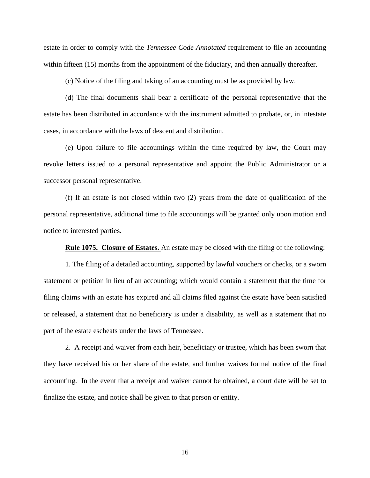estate in order to comply with the *Tennessee Code Annotated* requirement to file an accounting within fifteen (15) months from the appointment of the fiduciary, and then annually thereafter.

(c) Notice of the filing and taking of an accounting must be as provided by law.

(d) The final documents shall bear a certificate of the personal representative that the estate has been distributed in accordance with the instrument admitted to probate, or, in intestate cases, in accordance with the laws of descent and distribution.

(e) Upon failure to file accountings within the time required by law, the Court may revoke letters issued to a personal representative and appoint the Public Administrator or a successor personal representative.

(f) If an estate is not closed within two (2) years from the date of qualification of the personal representative, additional time to file accountings will be granted only upon motion and notice to interested parties.

**Rule 1075. Closure of Estates.** An estate may be closed with the filing of the following:

1. The filing of a detailed accounting, supported by lawful vouchers or checks, or a sworn statement or petition in lieu of an accounting; which would contain a statement that the time for filing claims with an estate has expired and all claims filed against the estate have been satisfied or released, a statement that no beneficiary is under a disability, as well as a statement that no part of the estate escheats under the laws of Tennessee.

2. A receipt and waiver from each heir, beneficiary or trustee, which has been sworn that they have received his or her share of the estate, and further waives formal notice of the final accounting. In the event that a receipt and waiver cannot be obtained, a court date will be set to finalize the estate, and notice shall be given to that person or entity.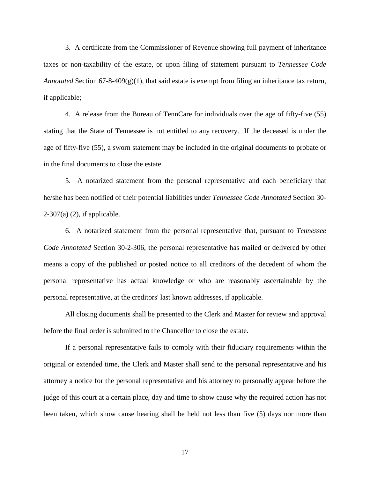3. A certificate from the Commissioner of Revenue showing full payment of inheritance taxes or non-taxability of the estate, or upon filing of statement pursuant to *Tennessee Code Annotated* Section  $67-8-409(g)(1)$ , that said estate is exempt from filing an inheritance tax return, if applicable;

4. A release from the Bureau of TennCare for individuals over the age of fifty-five (55) stating that the State of Tennessee is not entitled to any recovery. If the deceased is under the age of fifty-five (55), a sworn statement may be included in the original documents to probate or in the final documents to close the estate.

5. A notarized statement from the personal representative and each beneficiary that he/she has been notified of their potential liabilities under *Tennessee Code Annotated* Section 30-  $2-307(a)$  (2), if applicable.

6. A notarized statement from the personal representative that, pursuant to *Tennessee Code Annotated* Section 30-2-306, the personal representative has mailed or delivered by other means a copy of the published or posted notice to all creditors of the decedent of whom the personal representative has actual knowledge or who are reasonably ascertainable by the personal representative, at the creditors' last known addresses, if applicable.

All closing documents shall be presented to the Clerk and Master for review and approval before the final order is submitted to the Chancellor to close the estate.

If a personal representative fails to comply with their fiduciary requirements within the original or extended time, the Clerk and Master shall send to the personal representative and his attorney a notice for the personal representative and his attorney to personally appear before the judge of this court at a certain place, day and time to show cause why the required action has not been taken, which show cause hearing shall be held not less than five (5) days nor more than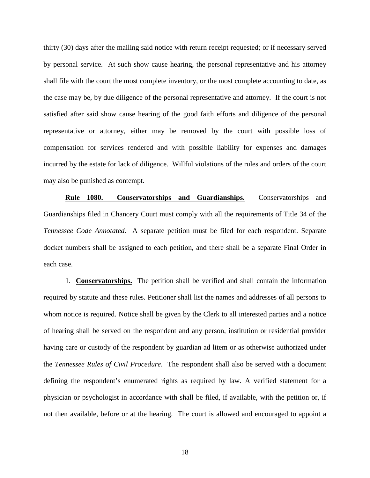thirty (30) days after the mailing said notice with return receipt requested; or if necessary served by personal service. At such show cause hearing, the personal representative and his attorney shall file with the court the most complete inventory, or the most complete accounting to date, as the case may be, by due diligence of the personal representative and attorney. If the court is not satisfied after said show cause hearing of the good faith efforts and diligence of the personal representative or attorney, either may be removed by the court with possible loss of compensation for services rendered and with possible liability for expenses and damages incurred by the estate for lack of diligence. Willful violations of the rules and orders of the court may also be punished as contempt.

**Rule 1080. Conservatorships and Guardianships.** Conservatorships and Guardianships filed in Chancery Court must comply with all the requirements of Title 34 of the *Tennessee Code Annotated.* A separate petition must be filed for each respondent. Separate docket numbers shall be assigned to each petition, and there shall be a separate Final Order in each case.

1. **Conservatorships.** The petition shall be verified and shall contain the information required by statute and these rules. Petitioner shall list the names and addresses of all persons to whom notice is required. Notice shall be given by the Clerk to all interested parties and a notice of hearing shall be served on the respondent and any person, institution or residential provider having care or custody of the respondent by guardian ad litem or as otherwise authorized under the *Tennessee Rules of Civil Procedure*. The respondent shall also be served with a document defining the respondent's enumerated rights as required by law. A verified statement for a physician or psychologist in accordance with shall be filed, if available, with the petition or, if not then available, before or at the hearing. The court is allowed and encouraged to appoint a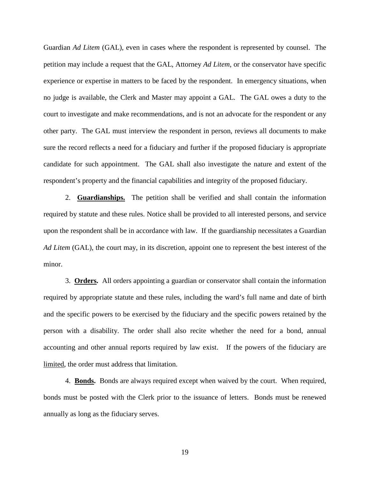Guardian *Ad Litem* (GAL), even in cases where the respondent is represented by counsel. The petition may include a request that the GAL, Attorney *Ad Litem*, or the conservator have specific experience or expertise in matters to be faced by the respondent. In emergency situations, when no judge is available, the Clerk and Master may appoint a GAL. The GAL owes a duty to the court to investigate and make recommendations, and is not an advocate for the respondent or any other party. The GAL must interview the respondent in person, reviews all documents to make sure the record reflects a need for a fiduciary and further if the proposed fiduciary is appropriate candidate for such appointment. The GAL shall also investigate the nature and extent of the respondent's property and the financial capabilities and integrity of the proposed fiduciary.

 2. **Guardianships.** The petition shall be verified and shall contain the information required by statute and these rules. Notice shall be provided to all interested persons, and service upon the respondent shall be in accordance with law. If the guardianship necessitates a Guardian *Ad Litem* (GAL), the court may, in its discretion, appoint one to represent the best interest of the minor.

3. **Orders.** All orders appointing a guardian or conservator shall contain the information required by appropriate statute and these rules, including the ward's full name and date of birth and the specific powers to be exercised by the fiduciary and the specific powers retained by the person with a disability. The order shall also recite whether the need for a bond, annual accounting and other annual reports required by law exist. If the powers of the fiduciary are limited, the order must address that limitation.

4. **Bonds.** Bonds are always required except when waived by the court. When required, bonds must be posted with the Clerk prior to the issuance of letters. Bonds must be renewed annually as long as the fiduciary serves.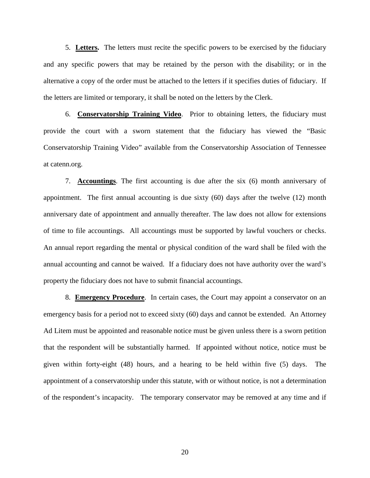5. **Letters.** The letters must recite the specific powers to be exercised by the fiduciary and any specific powers that may be retained by the person with the disability; or in the alternative a copy of the order must be attached to the letters if it specifies duties of fiduciary. If the letters are limited or temporary, it shall be noted on the letters by the Clerk.

6. **Conservatorship Training Video**. Prior to obtaining letters, the fiduciary must provide the court with a sworn statement that the fiduciary has viewed the "Basic Conservatorship Training Video" available from the Conservatorship Association of Tennessee at catenn.org.

7. **Accountings**. The first accounting is due after the six (6) month anniversary of appointment. The first annual accounting is due sixty (60) days after the twelve (12) month anniversary date of appointment and annually thereafter. The law does not allow for extensions of time to file accountings. All accountings must be supported by lawful vouchers or checks. An annual report regarding the mental or physical condition of the ward shall be filed with the annual accounting and cannot be waived. If a fiduciary does not have authority over the ward's property the fiduciary does not have to submit financial accountings.

8. **Emergency Procedure**. In certain cases, the Court may appoint a conservator on an emergency basis for a period not to exceed sixty (60) days and cannot be extended. An Attorney Ad Litem must be appointed and reasonable notice must be given unless there is a sworn petition that the respondent will be substantially harmed. If appointed without notice, notice must be given within forty-eight (48) hours, and a hearing to be held within five (5) days. The appointment of a conservatorship under this statute, with or without notice, is not a determination of the respondent's incapacity. The temporary conservator may be removed at any time and if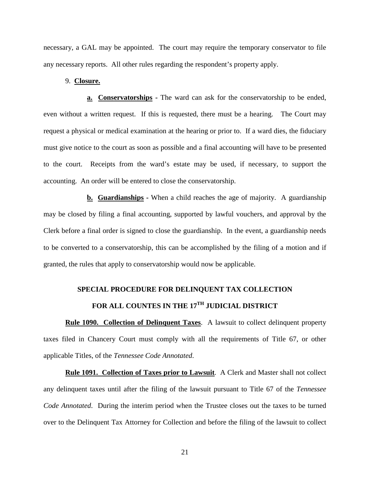necessary, a GAL may be appointed. The court may require the temporary conservator to file any necessary reports. All other rules regarding the respondent's property apply.

### 9. **Closure.**

**a. Conservatorships -** The ward can ask for the conservatorship to be ended, even without a written request. If this is requested, there must be a hearing. The Court may request a physical or medical examination at the hearing or prior to. If a ward dies, the fiduciary must give notice to the court as soon as possible and a final accounting will have to be presented to the court. Receipts from the ward's estate may be used, if necessary, to support the accounting. An order will be entered to close the conservatorship.

**b. Guardianships -** When a child reaches the age of majority. A guardianship may be closed by filing a final accounting, supported by lawful vouchers, and approval by the Clerk before a final order is signed to close the guardianship. In the event, a guardianship needs to be converted to a conservatorship, this can be accomplished by the filing of a motion and if granted, the rules that apply to conservatorship would now be applicable.

## **SPECIAL PROCEDURE FOR DELINQUENT TAX COLLECTION** FOR ALL COUNTES IN THE 17<sup>TH</sup> JUDICIAL DISTRICT

**Rule 1090. Collection of Delinquent Taxes**. A lawsuit to collect delinquent property taxes filed in Chancery Court must comply with all the requirements of Title 67, or other applicable Titles, of the *Tennessee Code Annotated*.

**Rule 1091. Collection of Taxes prior to Lawsuit**. A Clerk and Master shall not collect any delinquent taxes until after the filing of the lawsuit pursuant to Title 67 of the *Tennessee Code Annotated*. During the interim period when the Trustee closes out the taxes to be turned over to the Delinquent Tax Attorney for Collection and before the filing of the lawsuit to collect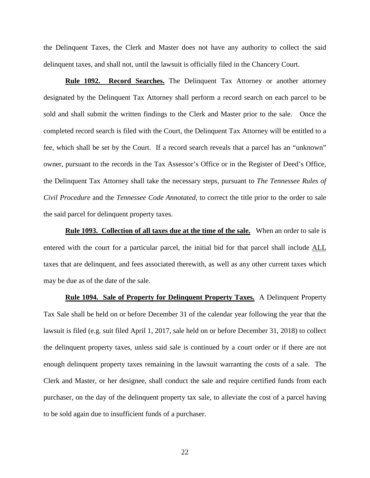the Delinquent Taxes, the Clerk and Master does not have any authority to collect the said delinquent taxes, and shall not, until the lawsuit is officially filed in the Chancery Court.

**Rule 1092. Record Searches.** The Delinquent Tax Attorney or another attorney designated by the Delinquent Tax Attorney shall perform a record search on each parcel to be sold and shall submit the written findings to the Clerk and Master prior to the sale. Once the completed record search is filed with the Court, the Delinquent Tax Attorney will be entitled to a fee, which shall be set by the Court. If a record search reveals that a parcel has an "unknown" owner, pursuant to the records in the Tax Assessor's Office or in the Register of Deed's Office, the Delinquent Tax Attorney shall take the necessary steps, pursuant to *The Tennessee Rules of Civil Procedure* and the *Tennessee Code Annotated*, to correct the title prior to the order to sale the said parcel for delinquent property taxes.

**Rule 1093. Collection of all taxes due at the time of the sale.** When an order to sale is entered with the court for a particular parcel, the initial bid for that parcel shall include ALL taxes that are delinquent, and fees associated therewith, as well as any other current taxes which may be due as of the date of the sale.

**Rule 1094. Sale of Property for Delinquent Property Taxes.** A Delinquent Property Tax Sale shall be held on or before December 31 of the calendar year following the year that the lawsuit is filed (e.g. suit filed April 1, 2017, sale held on or before December 31, 2018) to collect the delinquent property taxes, unless said sale is continued by a court order or if there are not enough delinquent property taxes remaining in the lawsuit warranting the costs of a sale. The Clerk and Master, or her designee, shall conduct the sale and require certified funds from each purchaser, on the day of the delinquent property tax sale, to alleviate the cost of a parcel having to be sold again due to insufficient funds of a purchaser.